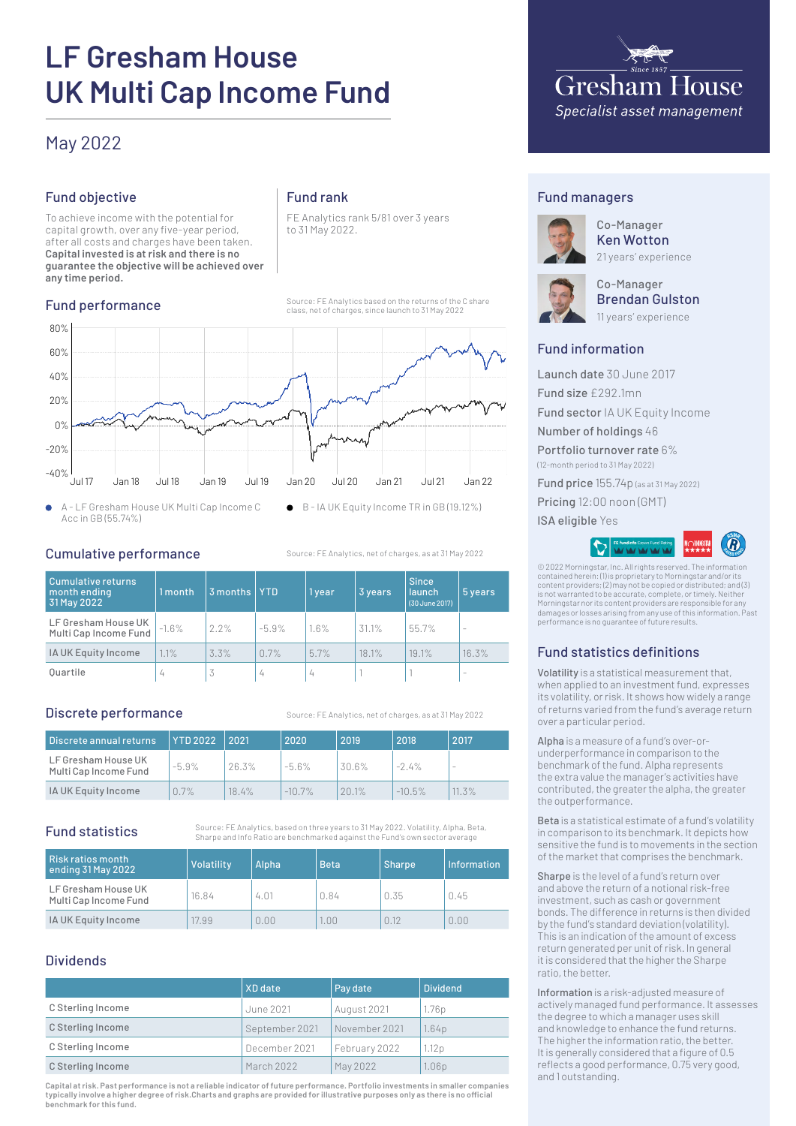# **LF Gresham House UK Multi Cap Income Fund**

# May 2022

# Fund objective

To achieve income with the potential for capital growth, over any five-year period, after all costs and charges have been taken. **Capital invested is at risk and there is no guarantee the objective will be achieved over any time period.**

#### Fund performance

# Fund rank

FE Analytics rank 5/81 over 3 years to 31 May 2022.

Source: FE Analytics based on the returns of the C share class, net of charges, since launch to 31 May 2022



A - LF Gresham House UK Multi Cap Income C  $\bullet$ Acc in GB (55.74%)

Cumulative performance

Source: FE Analytics, net of charges, as at 31 May 2022

| <b>Cumulative returns</b><br>month ending<br>31 May 2022 | 1 month | 3 months | <b>YTD</b> | 1 year | 3 years | <b>Since</b><br><b>launch</b><br>(30 June 2017) | 5 years                  |
|----------------------------------------------------------|---------|----------|------------|--------|---------|-------------------------------------------------|--------------------------|
| LF Gresham House UK<br>Multi Cap Income Fund             | $-1.6%$ | 2.2%     | $-5.9%$    | 1.6%   | 31.1%   | 55.7%                                           | ۰                        |
| IA UK Equity Income                                      | .1%     | 3.3%     | 0.7%       | 5.7%   | 18.1%   | 19.1%                                           | 16.3%                    |
| Ouartile                                                 | 4       | 3        | 4          | 4      |         |                                                 | $\overline{\phantom{a}}$ |

#### Discrete performance

Source: FE Analytics, net of charges, as at 31 May 2022

| Discrete annual returns                      | <b>YTD 2022</b> | 2021     | 2020      | 2019  | 2018      | 2017                     |
|----------------------------------------------|-----------------|----------|-----------|-------|-----------|--------------------------|
| LF Gresham House UK<br>Multi Cap Income Fund | $-5.9\%$        | 26.3%    | $-5.6\%$  | 30.6% | $-2.4\%$  | $\overline{\phantom{a}}$ |
| IA UK Equity Income                          | 0.7%            | $18.4\%$ | $-10.7\%$ | 201%  | $-10.5\%$ | $11.3\%$                 |

# Fund statistics

Source: FE Analytics, based on three years to 31 May 2022. Volatility, Alpha, Beta, Sharpe and Info Ratio are benchmarked against the Fund's own sector average

| Risk ratios month <br>ending 31 May 2022     | Volatility | Alpha | <b>Beta</b> | <b>Sharpe</b> | Information |
|----------------------------------------------|------------|-------|-------------|---------------|-------------|
| LF Gresham House UK<br>Multi Cap Income Fund | 16.84      | 4.01  | 0.84        | 0.35          | 0.45        |
| IA UK Equity Income                          | 17.99      | 0.00  | .00         | 0.12          | 0.00        |

# Dividends

|                   | XD date        | Pay date      | <b>Dividend</b>   |
|-------------------|----------------|---------------|-------------------|
| C Sterling Income | June 2021      | August 2021   | 1.76 <sub>p</sub> |
| C Sterling Income | September 2021 | November 2021 | 1.64 <sub>D</sub> |
| C Sterling Income | December 2021  | February 2022 | 1.12p             |
| C Sterling Income | March 2022     | May 2022      | 1.06 <sub>p</sub> |

**Capital at risk. Past performance is not a reliable indicator of future performance. Portfolio investments in smaller companies typically involve a higher degree of risk.Charts and graphs are provided for illustrative purposes only as there is no official benchmark for this fund.**



### Fund managers



Co-Manager Ken Wotton 21 years' experience



Co-Manager Brendan Gulston 11 years' experience

# Fund information

Launch date 30 June 2017 Fund size £292.1mn Fund sector IA UK Equity Income Number of holdings 46 Portfolio turnover rate 6% (12-month period to 31 May 2022) Fund price 155.74p (as at 31 May 2022) Pricing 12:00 noon (GMT) ISA eligible Yes



© 2022 Morningstar, Inc. All rights reserved. The information contained herein: (1) is proprietary to Morningstar and/or its content providers; (2) may not be copied or distributed; and (3) is not warranted to be accurate, complete, or timely. Neither Morningstar nor its content providers are responsible for any damages or losses arising from any use of this information. Past performance is no guarantee of future results.

# Fund statistics definitions

Volatility is a statistical measurement that, when applied to an investment fund, expresses its volatility, or risk. It shows how widely a range of returns varied from the fund's average return over a particular period.

Alpha is a measure of a fund's over-orunderperformance in comparison to the benchmark of the fund. Alpha represents the extra value the manager's activities have contributed, the greater the alpha, the greater the outperformance.

Beta is a statistical estimate of a fund's volatility in comparison to its benchmark. It depicts how sensitive the fund is to movements in the section of the market that comprises the benchmark.

Sharpe is the level of a fund's return over and above the return of a notional risk-free investment, such as cash or government bonds. The difference in returns is then divided by the fund's standard deviation (volatility). This is an indication of the amount of excess return generated per unit of risk. In general it is considered that the higher the Sharpe ratio, the better.

Information is a risk-adjusted measure of actively managed fund performance. It assesses the degree to which a manager uses skill and knowledge to enhance the fund returns. The higher the information ratio, the better. It is generally considered that a figure of 0.5 reflects a good performance, 0.75 very good, and 1 outstanding.